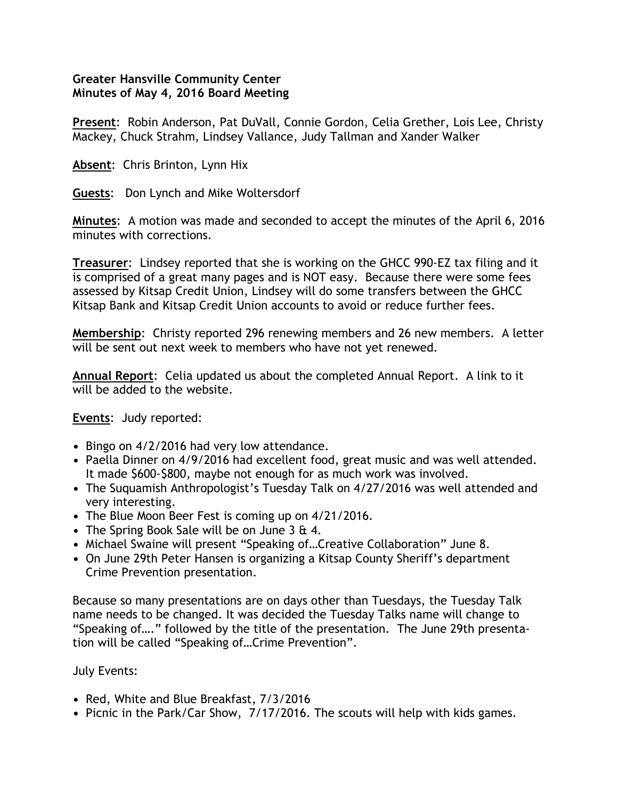## **Greater Hansville Community Center Minutes of May 4, 2016 Board Meeting**

**Present**: Robin Anderson, Pat DuVall, Connie Gordon, Celia Grether, Lois Lee, Christy Mackey, Chuck Strahm, Lindsey Vallance, Judy Tallman and Xander Walker

**Absent**: Chris Brinton, Lynn Hix

**Guests**: Don Lynch and Mike Woltersdorf

**Minutes**: A motion was made and seconded to accept the minutes of the April 6, 2016 minutes with corrections.

**Treasurer**: Lindsey reported that she is working on the GHCC 990-EZ tax filing and it is comprised of a great many pages and is NOT easy. Because there were some fees assessed by Kitsap Credit Union, Lindsey will do some transfers between the GHCC Kitsap Bank and Kitsap Credit Union accounts to avoid or reduce further fees.

**Membership**: Christy reported 296 renewing members and 26 new members. A letter will be sent out next week to members who have not yet renewed.

**Annual Report**: Celia updated us about the completed Annual Report. A link to it will be added to the website.

**Events**: Judy reported:

- **•** Bingo on 4/2/2016 had very low attendance.
- **•** Paella Dinner on 4/9/2016 had excellent food, great music and was well attended. It made \$600-\$800, maybe not enough for as much work was involved.
- **•** The Suquamish Anthropologist's Tuesday Talk on 4/27/2016 was well attended and very interesting.
- **•** The Blue Moon Beer Fest is coming up on 4/21/2016.
- **•** The Spring Book Sale will be on June 3 & 4.
- **•** Michael Swaine will present "Speaking of…Creative Collaboration" June 8.
- **•** On June 29th Peter Hansen is organizing a Kitsap County Sheriff's department Crime Prevention presentation.

Because so many presentations are on days other than Tuesdays, the Tuesday Talk name needs to be changed. It was decided the Tuesday Talks name will change to "Speaking of…." followed by the title of the presentation. The June 29th presentation will be called "Speaking of…Crime Prevention".

July Events:

- **•** Red, White and Blue Breakfast, 7/3/2016
- **•** Picnic in the Park/Car Show, 7/17/2016. The scouts will help with kids games.